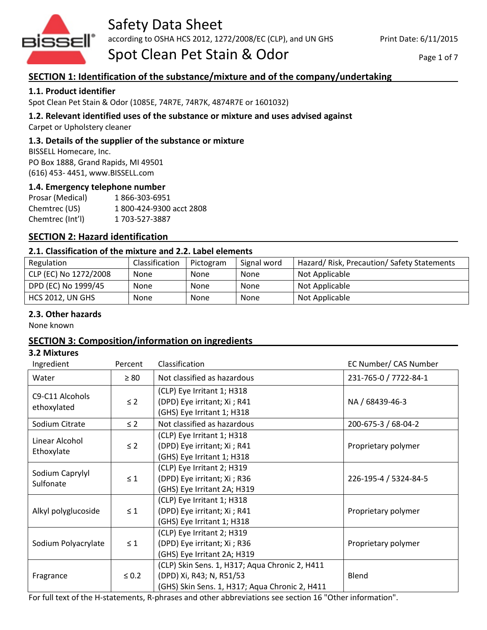

# Safety Data Sheet

according to OSHA HCS 2012, 1272/2008/EC (CLP), and UN GHS

Spot Clean Pet Stain & Odor

#### Page 1 of 7

## **SECTION 1: Identification of the substance/mixture and of the company/undertaking**

## **1.1. Product identifier**

Spot Clean Pet Stain & Odor (1085E, 74R7E, 74R7K, 4874R7E or 1601032)

## **1.2. Relevant identified uses of the substance or mixture and uses advised against**

Carpet or Upholstery cleaner

### **1.3. Details of the supplier of the substance or mixture**

BISSELL Homecare, Inc. PO Box 1888, Grand Rapids, MI 49501 (616) 453- 4451, www.BISSELL.com

### **1.4. Emergency telephone number**

| Prosar (Medical) | 1866-303-6951           |
|------------------|-------------------------|
| Chemtrec (US)    | 1800-424-9300 acct 2808 |
| Chemtrec (Int'l) | 1 703-527-3887          |

## **SECTION 2: Hazard identification**

## **2.1. Classification of the mixture and 2.2. Label elements**

| Regulation              | Classification | Pictogram | Signal word | Hazard/Risk, Precaution/Safety Statements |
|-------------------------|----------------|-----------|-------------|-------------------------------------------|
| CLP (EC) No 1272/2008   | None           | None      | <b>None</b> | Not Applicable                            |
| DPD (EC) No 1999/45     | <b>None</b>    | None      | None        | Not Applicable                            |
| <b>HCS 2012, UN GHS</b> | <b>None</b>    | None      | None        | Not Applicable                            |

#### **2.3. Other hazards**

None known

## **SECTION 3: Composition/information on ingredients**

#### **3.2 Mixtures**

| Ingredient                     | Percent    | Classification                                                                                                               | EC Number/ CAS Number |
|--------------------------------|------------|------------------------------------------------------------------------------------------------------------------------------|-----------------------|
| Water                          | $\geq 80$  | Not classified as hazardous                                                                                                  | 231-765-0 / 7722-84-1 |
| C9-C11 Alcohols<br>ethoxylated | $\leq$ 2   | (CLP) Eye Irritant 1; H318<br>(DPD) Eye irritant; Xi ; R41<br>(GHS) Eye Irritant 1; H318                                     | NA / 68439-46-3       |
| Sodium Citrate                 | $\leq$ 2   | Not classified as hazardous                                                                                                  | 200-675-3 / 68-04-2   |
| Linear Alcohol<br>Ethoxylate   | $\leq$ 2   | (CLP) Eye Irritant 1; H318<br>(DPD) Eye irritant; Xi ; R41<br>(GHS) Eye Irritant 1; H318                                     | Proprietary polymer   |
| Sodium Caprylyl<br>Sulfonate   | $\leq 1$   | (CLP) Eye Irritant 2; H319<br>(DPD) Eye irritant; Xi ; R36<br>(GHS) Eye Irritant 2A; H319                                    | 226-195-4 / 5324-84-5 |
| Alkyl polyglucoside            | $\leq 1$   | (CLP) Eye Irritant 1; H318<br>(DPD) Eye irritant; Xi ; R41<br>(GHS) Eye Irritant 1; H318                                     | Proprietary polymer   |
| Sodium Polyacrylate            | $\leq 1$   | (CLP) Eye Irritant 2; H319<br>(DPD) Eye irritant; Xi ; R36<br>(GHS) Eye Irritant 2A; H319                                    | Proprietary polymer   |
| Fragrance                      | $\leq 0.2$ | (CLP) Skin Sens. 1, H317; Aqua Chronic 2, H411<br>(DPD) Xi, R43; N, R51/53<br>(GHS) Skin Sens. 1, H317; Aqua Chronic 2, H411 | <b>Blend</b>          |

For full text of the H-statements, R-phrases and other abbreviations see section 16 "Other information".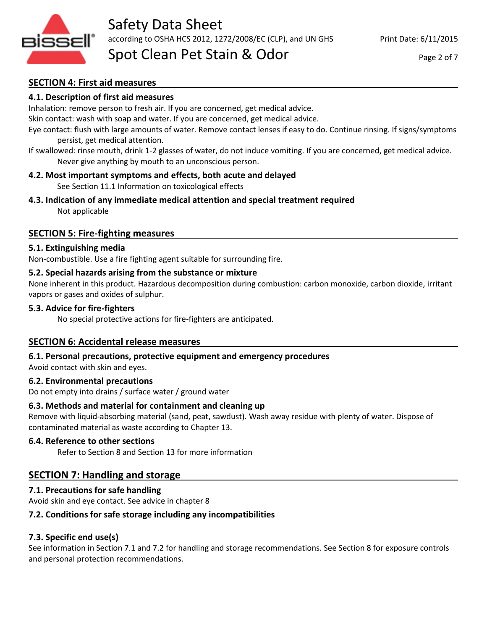

## **SECTION 4: First aid measures**

## **4.1. Description of first aid measures**

Inhalation: remove person to fresh air. If you are concerned, get medical advice.

Skin contact: wash with soap and water. If you are concerned, get medical advice.

Eye contact: flush with large amounts of water. Remove contact lenses if easy to do. Continue rinsing. If signs/symptoms persist, get medical attention.

If swallowed: rinse mouth, drink 1-2 glasses of water, do not induce vomiting. If you are concerned, get medical advice. Never give anything by mouth to an unconscious person.

## **4.2. Most important symptoms and effects, both acute and delayed**

See Section 11.1 Information on toxicological effects

**4.3. Indication of any immediate medical attention and special treatment required** Not applicable

## **SECTION 5: Fire-fighting measures**

### **5.1. Extinguishing media**

Non-combustible. Use a fire fighting agent suitable for surrounding fire.

## **5.2. Special hazards arising from the substance or mixture**

None inherent in this product. Hazardous decomposition during combustion: carbon monoxide, carbon dioxide, irritant vapors or gases and oxides of sulphur.

### **5.3. Advice for fire-fighters**

No special protective actions for fire-fighters are anticipated.

## **SECTION 6: Accidental release measures**

## **6.1. Personal precautions, protective equipment and emergency procedures**

Avoid contact with skin and eyes.

#### **6.2. Environmental precautions**

Do not empty into drains / surface water / ground water

## **6.3. Methods and material for containment and cleaning up**

Remove with liquid-absorbing material (sand, peat, sawdust). Wash away residue with plenty of water. Dispose of contaminated material as waste according to Chapter 13.

#### **6.4. Reference to other sections**

Refer to Section 8 and Section 13 for more information

## **SECTION 7: Handling and storage**

## **7.1. Precautions for safe handling**

Avoid skin and eye contact. See advice in chapter 8

## **7.2. Conditions for safe storage including any incompatibilities**

## **7.3. Specific end use(s)**

See information in Section 7.1 and 7.2 for handling and storage recommendations. See Section 8 for exposure controls and personal protection recommendations.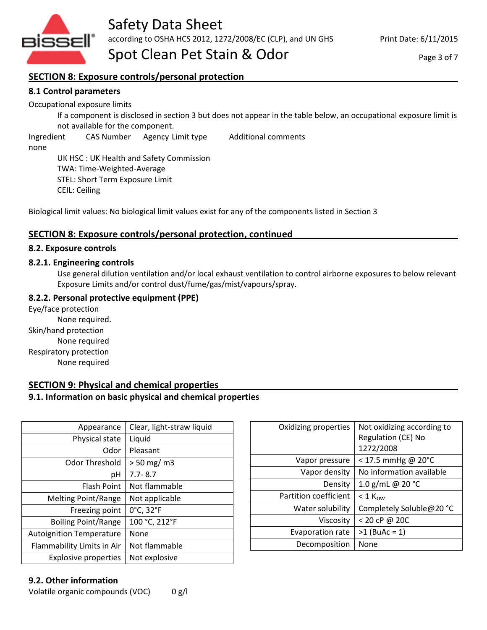

Page 3 of 7

## **SECTION 8: Exposure controls/personal protection**

## **8.1 Control parameters**

Occupational exposure limits

If a component is disclosed in section 3 but does not appear in the table below, an occupational exposure limit is not available for the component.

Ingredient CAS Number Agency Limit type Additional comments

none

UK HSC : UK Health and Safety Commission TWA: Time-Weighted-Average STEL: Short Term Exposure Limit CEIL: Ceiling

Biological limit values: No biological limit values exist for any of the components listed in Section 3

## **SECTION 8: Exposure controls/personal protection, continued**

#### **8.2. Exposure controls**

### **8.2.1. Engineering controls**

Use general dilution ventilation and/or local exhaust ventilation to control airborne exposures to below relevant Exposure Limits and/or control dust/fume/gas/mist/vapours/spray.

## **8.2.2. Personal protective equipment (PPE)**

Eye/face protection None required. Skin/hand protection None required Respiratory protection None required

## **SECTION 9: Physical and chemical properties**

## **9.1. Information on basic physical and chemical properties**

| Appearance                      | Clear, light-straw liquid |
|---------------------------------|---------------------------|
| Physical state                  | Liquid                    |
| Odor                            | Pleasant                  |
| Odor Threshold                  | $> 50$ mg/ m3             |
| рH                              | $7.7 - 8.7$               |
| Flash Point                     | Not flammable             |
| <b>Melting Point/Range</b>      | Not applicable            |
| Freezing point                  | 0°C, 32°F                 |
| <b>Boiling Point/Range</b>      | 100 °C, 212°F             |
| <b>Autoignition Temperature</b> | None                      |
| Flammability Limits in Air      | Not flammable             |
| <b>Explosive properties</b>     | Not explosive             |

| Oxidizing properties    | Not oxidizing according to<br>Regulation (CE) No<br>1272/2008 |
|-------------------------|---------------------------------------------------------------|
| Vapor pressure          | $<$ 17.5 mmHg @ 20°C                                          |
| Vapor density           | No information available                                      |
| Density                 | 1.0 g/mL @ 20 °C                                              |
| Partition coefficient   | $<$ 1 K <sub>ow</sub>                                         |
| Water solubility        | Completely Soluble@20 °C                                      |
| Viscosity               | $< 20$ cP @ 20C                                               |
| <b>Evaporation rate</b> | $>1$ (BuAc = 1)                                               |
| Decomposition           | None                                                          |

## **9.2. Other information**

Volatile organic compounds (VOC) 0 g/l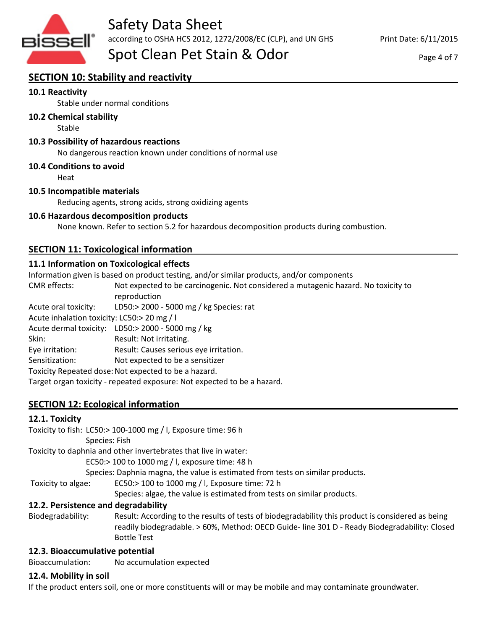

according to OSHA HCS 2012, 1272/2008/EC (CLP), and UN GHS

Spot Clean Pet Stain & Odor

## **SECTION 10: Stability and reactivity**

## **10.1 Reactivity**

Stable under normal conditions

### **10.2 Chemical stability**

Stable

### **10.3 Possibility of hazardous reactions**

No dangerous reaction known under conditions of normal use

#### **10.4 Conditions to avoid**

Heat

#### **10.5 Incompatible materials**

Reducing agents, strong acids, strong oxidizing agents

#### **10.6 Hazardous decomposition products**

None known. Refer to section 5.2 for hazardous decomposition products during combustion.

## **SECTION 11: Toxicological information**

### **11.1 Information on Toxicological effects**

Information given is based on product testing, and/or similar products, and/or components CMR effects: Not expected to be carcinogenic. Not considered a mutagenic hazard. No toxicity to reproduction Acute oral toxicity: LD50:> 2000 - 5000 mg / kg Species: rat Acute inhalation toxicity: LC50:> 20 mg / l Acute dermal toxicity: LD50:> 2000 - 5000 mg / kg Skin: Result: Not irritating. Eye irritation: Result: Causes serious eye irritation. Sensitization: Not expected to be a sensitizer

Toxicity Repeated dose: Not expected to be a hazard.

Target organ toxicity - repeated exposure: Not expected to be a hazard.

## **SECTION 12: Ecological information**

#### **12.1. Toxicity**

|                    | Toxicity to fish: LC50:> 100-1000 mg / l, Exposure time: 96 h                                                                                                                                      |
|--------------------|----------------------------------------------------------------------------------------------------------------------------------------------------------------------------------------------------|
|                    | Species: Fish                                                                                                                                                                                      |
|                    | Toxicity to daphnia and other invertebrates that live in water:                                                                                                                                    |
|                    | EC50:> 100 to 1000 mg / l, exposure time: 48 h                                                                                                                                                     |
|                    | Species: Daphnia magna, the value is estimated from tests on similar products.                                                                                                                     |
| Toxicity to algae: | EC50:> 100 to 1000 mg / l, Exposure time: 72 h                                                                                                                                                     |
|                    | Species: algae, the value is estimated from tests on similar products.                                                                                                                             |
|                    | 12.2. Persistence and degradability                                                                                                                                                                |
| Biodegradability:  | Result: According to the results of tests of biodegradability this product is considered as being<br>readily biodegradable. > 60%, Method: OECD Guide- line 301 D - Ready Biodegradability: Closed |

## Bottle Test

#### **12.3. Bioaccumulative potential**

Bioaccumulation: No accumulation expected

#### **12.4. Mobility in soil**

If the product enters soil, one or more constituents will or may be mobile and may contaminate groundwater.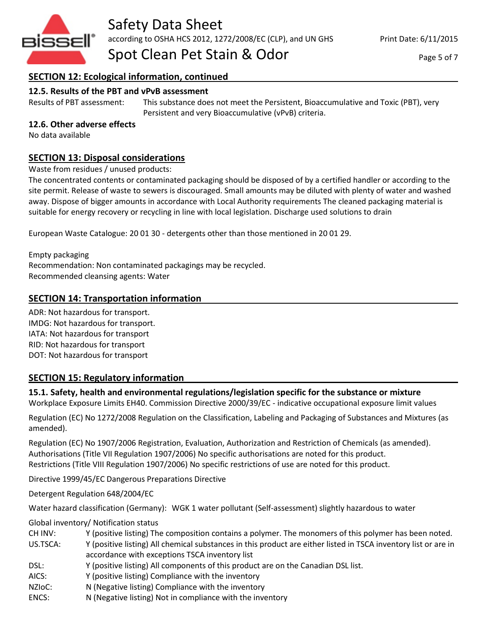

## **SECTION 12: Ecological information, continued**

## **12.5. Results of the PBT and vPvB assessment**

Results of PBT assessment: This substance does not meet the Persistent, Bioaccumulative and Toxic (PBT), very Persistent and very Bioaccumulative (vPvB) criteria.

## **12.6. Other adverse effects**

No data available

## **SECTION 13: Disposal considerations**

Waste from residues / unused products:

The concentrated contents or contaminated packaging should be disposed of by a certified handler or according to the site permit. Release of waste to sewers is discouraged. Small amounts may be diluted with plenty of water and washed away. Dispose of bigger amounts in accordance with Local Authority requirements The cleaned packaging material is suitable for energy recovery or recycling in line with local legislation. Discharge used solutions to drain

European Waste Catalogue: 20 01 30 - detergents other than those mentioned in 20 01 29.

Empty packaging Recommendation: Non contaminated packagings may be recycled. Recommended cleansing agents: Water

## **SECTION 14: Transportation information**

ADR: Not hazardous for transport. IMDG: Not hazardous for transport. IATA: Not hazardous for transport RID: Not hazardous for transport DOT: Not hazardous for transport

## **SECTION 15: Regulatory information**

**15.1. Safety, health and environmental regulations/legislation specific for the substance or mixture**

Workplace Exposure Limits EH40. Commission Directive 2000/39/EC - indicative occupational exposure limit values

Regulation (EC) No 1272/2008 Regulation on the Classification, Labeling and Packaging of Substances and Mixtures (as amended).

Regulation (EC) No 1907/2006 Registration, Evaluation, Authorization and Restriction of Chemicals (as amended). Authorisations (Title VII Regulation 1907/2006) No specific authorisations are noted for this product. Restrictions (Title VIII Regulation 1907/2006) No specific restrictions of use are noted for this product.

Directive 1999/45/EC Dangerous Preparations Directive

Detergent Regulation 648/2004/EC

Water hazard classification (Germany): WGK 1 water pollutant (Self-assessment) slightly hazardous to water

Global inventory/ Notification status

CH INV: Y (positive listing) The composition contains a polymer. The monomers of this polymer has been noted.

US.TSCA: Y (positive listing) All chemical substances in this product are either listed in TSCA inventory list or are in accordance with exceptions TSCA inventory list

- DSL: Y (positive listing) All components of this product are on the Canadian DSL list.
- AICS: Y (positive listing) Compliance with the inventory
- NZIoC: N (Negative listing) Compliance with the inventory
- ENCS: N (Negative listing) Not in compliance with the inventory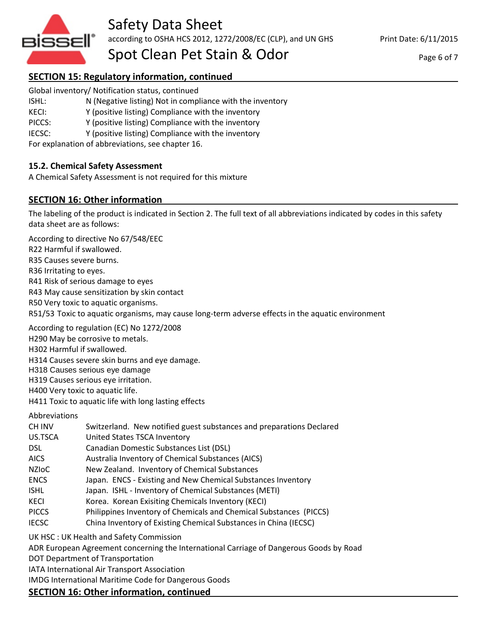

Print Date: 6/11/2015

Page 6 of 7

# **SECTION 15: Regulatory information, continued**

- Global inventory/ Notification status, continued
- ISHL: N (Negative listing) Not in compliance with the inventory
- KECI: Y (positive listing) Compliance with the inventory
- PICCS: Y (positive listing) Compliance with the inventory
- IECSC: Y (positive listing) Compliance with the inventory

For explanation of abbreviations, see chapter 16.

## **15.2. Chemical Safety Assessment**

A Chemical Safety Assessment is not required for this mixture

## **SECTION 16: Other information**

The labeling of the product is indicated in Section 2. The full text of all abbreviations indicated by codes in this safety data sheet are as follows:

According to directive No 67/548/EEC

R22 Harmful if swallowed.

R35 Causes severe burns.

R36 Irritating to eyes.

R41 Risk of serious damage to eyes

R43 May cause sensitization by skin contact

R50 Very toxic to aquatic organisms.

R51/53 Toxic to aquatic organisms, may cause long-term adverse effects in the aquatic environment

According to regulation (EC) No 1272/2008

H290 May be corrosive to metals.

H302 Harmful if swallowed.

H314 Causes severe skin burns and eye damage.

H318 Causes serious eye damage

H319 Causes serious eye irritation.

H400 Very toxic to aquatic life.

H411 Toxic to aquatic life with long lasting effects

Abbreviations

| CH INV |  |  |  | Switzerland. New notified guest substances and preparations Declared |  |
|--------|--|--|--|----------------------------------------------------------------------|--|
|--------|--|--|--|----------------------------------------------------------------------|--|

US.TSCA United States TSCA Inventory

DSL Canadian Domestic Substances List (DSL)

- AICS Australia Inventory of Chemical Substances (AICS)
- NZIoC New Zealand. Inventory of Chemical Substances
- ENCS Japan. ENCS Existing and New Chemical Substances Inventory
- ISHL Japan. ISHL Inventory of Chemical Substances (METI)
- KECI Korea. Korean Exisiting Chemicals Inventory (KECI)
- PICCS Philippines Inventory of Chemicals and Chemical Substances (PICCS)
- IECSC China Inventory of Existing Chemical Substances in China (IECSC)

UK HSC : UK Health and Safety Commission

ADR European Agreement concerning the International Carriage of Dangerous Goods by Road

DOT Department of Transportation

IATA International Air Transport Association

IMDG International Maritime Code for Dangerous Goods

## **SECTION 16: Other information, continued**